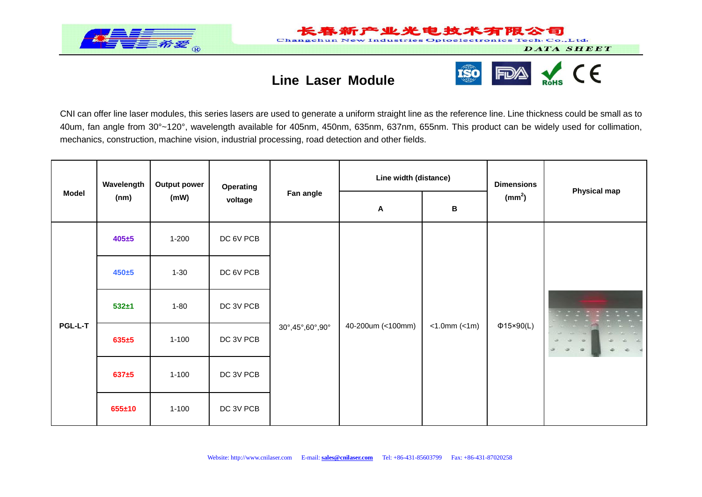

## **Line Laser Module**

**Changehun Ne** 



Industries Optoelectronics Tech. Co., Ltd.

旬

DATA SHEET

CNI can offer line laser modules, this series lasers are used to generate a uniform straight line as the reference line. Line thickness could be small as to 40um, fan angle from 30°~120°, wavelength available for 405nm, 450nm, 635nm, 637nm, 655nm. This product can be widely used for collimation, mechanics, construction, machine vision, industrial processing, road detection and other fields.

| <b>Model</b>   | Wavelength<br>(nm) | <b>Output power</b><br>(mW) | Operating<br>voltage | Fan angle       | Line width (distance)     |                       | <b>Dimensions</b>  |                     |
|----------------|--------------------|-----------------------------|----------------------|-----------------|---------------------------|-----------------------|--------------------|---------------------|
|                |                    |                             |                      |                 | $\boldsymbol{\mathsf{A}}$ | $\, {\bf B}$          | (mm <sup>2</sup> ) | <b>Physical map</b> |
| <b>PGL-L-T</b> | $405 + 5$          | $1 - 200$                   | DC 6V PCB            | 30°,45°,60°,90° | 40-200um (<100mm)         | $<1.0$ mm $(<1$ m $)$ | $\Phi$ 15×90(L)    |                     |
|                | $450 + 5$          | $1 - 30$                    | DC 6V PCB            |                 |                           |                       |                    |                     |
|                | $532 + 1$          | $1 - 80$                    | DC 3V PCB            |                 |                           |                       |                    |                     |
|                | $635 + 5$          | $1 - 100$                   | DC 3V PCB            |                 |                           |                       |                    |                     |
|                | $637 + 5$          | $1 - 100$                   | DC 3V PCB            |                 |                           |                       |                    |                     |
|                | $655 \pm 10$       | $1 - 100$                   | DC 3V PCB            |                 |                           |                       |                    |                     |